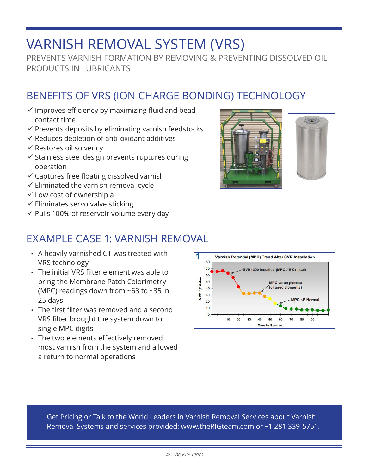## VARNISH REMOVAL SYSTEM (VRS)

PREVENTS VARNISH FORMATION BY REMOVING & PREVENTING DISSOLVED OIL PRODUCTS IN LUBRICANTS

## BENEFITS OF VRS (ION CHARGE BONDING) TECHNOLOGY

- $\checkmark$  Improves efficiency by maximizing fluid and bead contact time
- $\checkmark$  Prevents deposits by eliminating varnish feedstocks
- $\checkmark$  Reduces depletion of anti-oxidant additives
- $\checkmark$  Restores oil solvency
- $\checkmark$  Stainless steel design prevents ruptures during operation
- $\checkmark$  Captures free floating dissolved varnish
- $\checkmark$  Eliminated the varnish removal cycle
- $\checkmark$  Low cost of ownership a
- $\checkmark$  Eliminates servo valve sticking
- $\checkmark$  Pulls 100% of reservoir volume every day

## EXAMPLE CASE 1: VARNISH REMOVAL

- A heavily varnished CT was treated with VRS technology
- The initial VRS filter element was able to bring the Membrane Patch Colorimetry (MPC) readings down from ~63 to ~35 in 25 days
- The first filter was removed and a second VRS filter brought the system down to single MPC digits
- The two elements effectively removed most varnish from the system and allowed a return to normal operations



Get Pricing or Talk to the World Leaders in Varnish Removal Services about Varnish Removal Systems and services provided: www.theRIGteam.com or +1 281-339-5751.